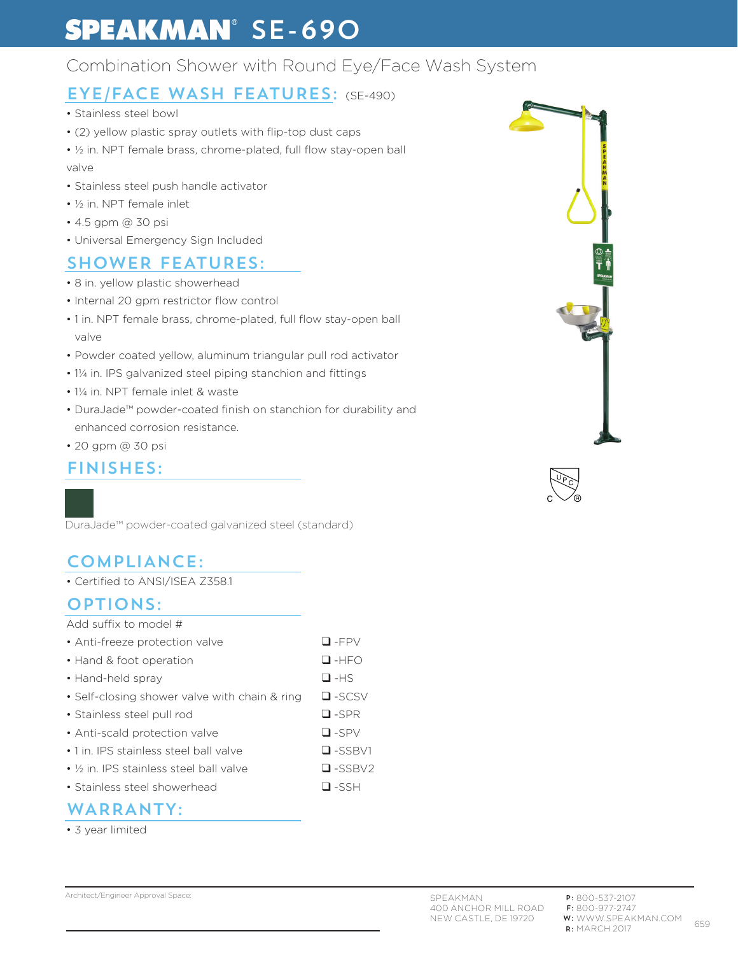# **SPEAKMAN**<sup>®</sup> SE-690

## Combination Shower with Round Eye/Face Wash System

## EYE/FACE WASH FEATURES: (SE-490)

- Stainless steel bowl
- (2) yellow plastic spray outlets with flip-top dust caps
- ½ in. NPT female brass, chrome-plated, full flow stay-open ball valve
- Stainless steel push handle activator
- ½ in. NPT female inlet
- 4.5 gpm @ 30 psi
- Universal Emergency Sign Included

## SHOWER FEATURES:

- 8 in. yellow plastic showerhead
- Internal 20 gpm restrictor flow control
- 1 in. NPT female brass, chrome-plated, full flow stay-open ball valve
- Powder coated yellow, aluminum triangular pull rod activator
- 1¼ in. IPS galvanized steel piping stanchion and fittings
- 1¼ in. NPT female inlet & waste
- DuraJade™ powder-coated finish on stanchion for durability and enhanced corrosion resistance.
- 20 gpm @ 30 psi

#### FINISHES:

DuraJade™ powder-coated galvanized steel (standard)

### COMPLIANCE:

• Certified to ANSI/ISEA Z358.1

#### OPTIONS:

Add suffix to model #

- Anti-freeze protection valve ❑ -FPV
- Hand & foot operation ❑ -HFO
- Hand-held spray ❑ -HS
- Self-closing shower valve with chain & ring ❑ -SCSV
- Stainless steel pull rod ❑ -SPR
- Anti-scald protection valve ❑ -SPV
- 1 in. IPS stainless steel ball valve <br>□ -SSBV1
- ½ in. IPS stainless steel ball valve ❑ -SSBV2
- Stainless steel showerhead ❑ -SSH

#### WARRANTY:

• 3 year limited

Architect/Engineer Approval Space: